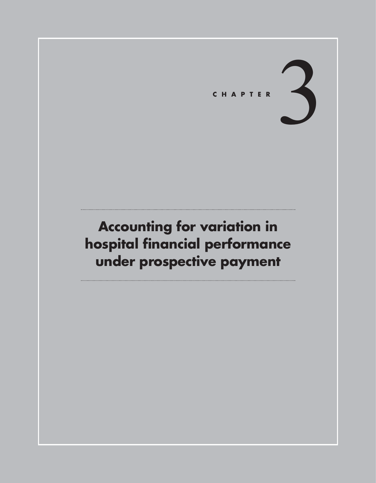# CHAPTER

# **Accounting for variation in hospital financial performance under prospective payment**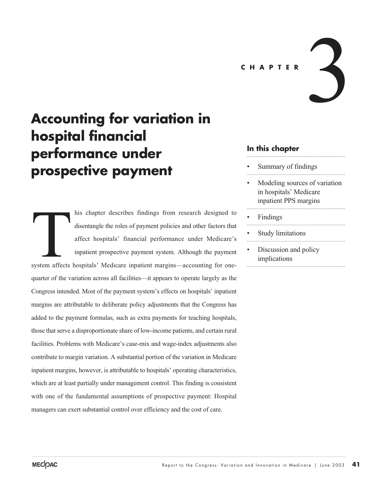**CHAPTER**

# **Accounting for variation in hospital financial performance under prospective payment**

his chapter describes findings from research designed to disentangle the roles of payment policies and other factors that affect hospitals' financial performance under Medicare's inpatient prospective payment system. Although the payment system affects hospitals' Medicare inpatient margins—accounting for onequarter of the variation across all facilities—it appears to operate largely as the Congress intended. Most of the payment system's effects on hospitals' inpatient margins are attributable to deliberate policy adjustments that the Congress has added to the payment formulas, such as extra payments for teaching hospitals, those that serve a disproportionate share of low-income patients, and certain rural facilities. Problems with Medicare's case-mix and wage-index adjustments also contribute to margin variation. A substantial portion of the variation in Medicare inpatient margins, however, is attributable to hospitals' operating characteristics, which are at least partially under management control. This finding is consistent with one of the fundamental assumptions of prospective payment: Hospital managers can exert substantial control over efficiency and the cost of care. System affects

## **In this chapter**

- Summary of findings
- Modeling sources of variation in hospitals' Medicare inpatient PPS margins

3

- Findings
- Study limitations
- Discussion and policy implications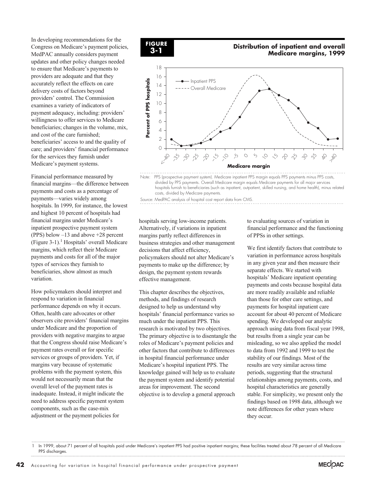In developing recommendations for the Congress on Medicare's payment policies, MedPAC annually considers payment updates and other policy changes needed to ensure that Medicare's payments to providers are adequate and that they accurately reflect the effects on care delivery costs of factors beyond providers' control. The Commission examines a variety of indicators of payment adequacy, including: providers' willingness to offer services to Medicare beneficiaries; changes in the volume, mix, and cost of the care furnished; beneficiaries' access to and the quality of care; and providers' financial performance for the services they furnish under Medicare's payment systems.

Financial performance measured by financial margins—the difference between payments and costs as a percentage of payments—varies widely among hospitals. In 1999, for instance, the lowest and highest 10 percent of hospitals had financial margins under Medicare's inpatient prospective payment system (PPS) below –13 and above +28 percent (Figure 3-1).<sup>1</sup> Hospitals' overall Medicare margins, which reflect their Medicare payments and costs for all of the major types of services they furnish to beneficiaries, show almost as much variation.

How policymakers should interpret and respond to variation in financial performance depends on why it occurs. Often, health care advocates or other observers cite providers' financial margins under Medicare and the proportion of providers with negative margins to argue that the Congress should raise Medicare's payment rates overall or for specific services or groups of providers. Yet, if margins vary because of systematic problems with the payment system, this would not necessarily mean that the overall level of the payment rates is inadequate. Instead, it might indicate the need to address specific payment system components, such as the case-mix adjustment or the payment policies for



#### **Distribution of inpatient and overall Medicare margins, 1999**



Note: PPS (prospective payment system). Medicare inpatient PPS margin equals PPS payments minus PPS costs, divided by PPS payments. Overall Medicare margin equals Medicare payments for all major services hospitals furnish to beneficiaries (such as inpatient, outpatient, skilled nursing, and home health), minus related costs, divided by Medicare payments.

Source: MedPAC analysis of hospital cost report data from CMS.

hospitals serving low-income patients. Alternatively, if variations in inpatient margins partly reflect differences in business strategies and other management decisions that affect efficiency, policymakers should not alter Medicare's payments to make up the difference; by design, the payment system rewards effective management.

This chapter describes the objectives, methods, and findings of research designed to help us understand why hospitals' financial performance varies so much under the inpatient PPS. This research is motivated by two objectives. The primary objective is to disentangle the roles of Medicare's payment policies and other factors that contribute to differences in hospital financial performance under Medicare's hospital inpatient PPS. The knowledge gained will help us to evaluate the payment system and identify potential areas for improvement. The second objective is to develop a general approach

to evaluating sources of variation in financial performance and the functioning of PPSs in other settings.

We first identify factors that contribute to variation in performance across hospitals in any given year and then measure their separate effects. We started with hospitals' Medicare inpatient operating payments and costs because hospital data are more readily available and reliable than those for other care settings, and payments for hospital inpatient care account for about 40 percent of Medicare spending. We developed our analytic approach using data from fiscal year 1998, but results from a single year can be misleading, so we also applied the model to data from 1992 and 1999 to test the stability of our findings. Most of the results are very similar across time periods, suggesting that the structural relationships among payments, costs, and hospital characteristics are generally stable. For simplicity, we present only the findings based on 1998 data, although we note differences for other years where they occur.



In 1999, about 71 percent of all hospitals paid under Medicare's inpatient PPS had positive inpatient margins; these facilities treated about 78 percent of all Medicare PPS discharges.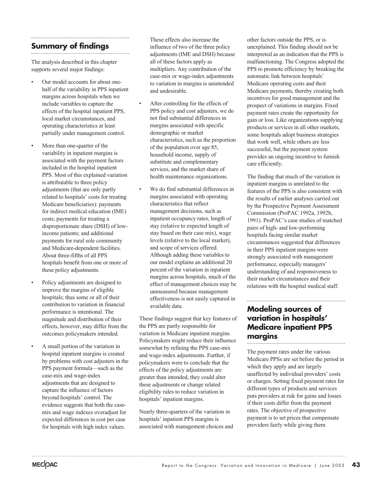# **Summary of findings**

The analysis described in this chapter supports several major findings:

- Our model accounts for about onehalf of the variability in PPS inpatient margins across hospitals when we include variables to capture the effects of the hospital inpatient PPS, local market circumstances, and operating characteristics at least partially under management control.
- More than one-quarter of the variability in inpatient margins is associated with the payment factors included in the hospital inpatient PPS. Most of this explained variation is attributable to three policy adjustments (that are only partly related to hospitals' costs for treating Medicare beneficiaries): payments for indirect medical education (IME) costs; payments for treating a disproportionate share (DSH) of lowincome patients; and additional payments for rural sole community and Medicare-dependent facilities. About three-fifths of all PPS hospitals benefit from one or more of these policy adjustments.
- Policy adjustments are designed to improve the margins of eligible hospitals; thus some or all of their contribution to variation in financial performance is intentional. The magnitude and distribution of their effects, however, may differ from the outcomes policymakers intended.
- A small portion of the variation in hospital inpatient margins is created by problems with cost adjusters in the PPS payment formula—such as the case-mix and wage-index adjustments that are designed to capture the influence of factors beyond hospitals' control. The evidence suggests that both the casemix and wage indexes overadjust for expected differences in cost per case for hospitals with high index values.

These effects also increase the influence of two of the three policy adjustments (IME and DSH) because all of these factors apply as multipliers. Any contribution of the case-mix or wage-index adjustments to variation in margins is unintended and undesirable.

- After controlling for the effects of PPS policy and cost adjusters, we do not find substantial differences in margins associated with specific demographic or market characteristics, such as the proportion of the population over age 85, household income, supply of substitute and complementary services, and the market share of health maintenance organizations.
- We do find substantial differences in margins associated with operating characteristics that reflect management decisions, such as inpatient occupancy rates, length of stay (relative to expected length of stay based on their case mix), wage levels (relative to the local market), and scope of services offered. Although adding these variables to our model explains an additional 20 percent of the variation in inpatient margins across hospitals, much of the effect of management choices may be unmeasured because management effectiveness is not easily captured in available data.

These findings suggest that key features of the PPS are partly responsible for variation in Medicare inpatient margins. Policymakers might reduce their influence somewhat by refining the PPS case-mix and wage-index adjustments. Further, if policymakers were to conclude that the effects of the policy adjustments are greater than intended, they could alter these adjustments or change related eligibility rules to reduce variation in hospitals' inpatient margins.

Nearly three-quarters of the variation in hospitals' inpatient PPS margins is associated with management choices and other factors outside the PPS, or is unexplained. This finding should not be interpreted as an indication that the PPS is malfunctioning. The Congress adopted the PPS to promote efficiency by breaking the automatic link between hospitals' Medicare operating costs and their Medicare payments, thereby creating both incentives for good management and the prospect of variations in margins. Fixed payment rates create the opportunity for gain or loss. Like organizations supplying products or services in all other markets, some hospitals adopt business strategies that work well, while others are less successful, but the payment system provides an ongoing incentive to furnish care efficiently.

The finding that much of the variation in inpatient margins is unrelated to the features of the PPS is also consistent with the results of earlier analyses carried out by the Prospective Payment Assessment Commission (ProPAC 1992a, 1992b, 1991). ProPAC's case studies of matched pairs of high- and low-performing hospitals facing similar market circumstances suggested that differences in their PPS inpatient margins were strongly associated with management performance, especially managers' understanding of and responsiveness to their market circumstances and their relations with the hospital medical staff.

# **Modeling sources of variation in hospitals' Medicare inpatient PPS margins**

The payment rates under the various Medicare PPSs are set before the period in which they apply and are largely unaffected by individual providers' costs or charges. Setting fixed payment rates for different types of products and services puts providers at risk for gains and losses if their costs differ from the payment rates. The objective of prospective payment is to set prices that compensate providers fairly while giving them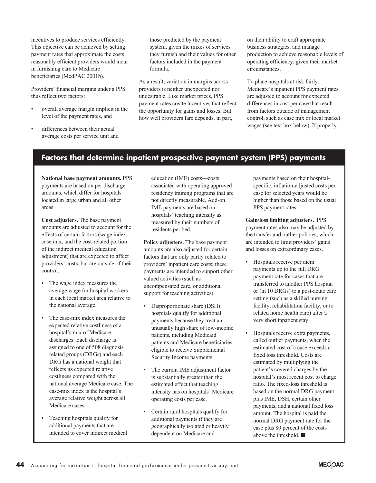incentives to produce services efficiently. This objective can be achieved by setting payment rates that approximate the costs reasonably efficient providers would incur in furnishing care to Medicare beneficiaries (MedPAC 2001b).

Providers' financial margins under a PPS thus reflect two factors:

- overall average margin implicit in the level of the payment rates, and
- differences between their actual average costs per service unit and

those predicted by the payment system, given the mixes of services they furnish and their values for other factors included in the payment formula.

As a result, variation in margins across providers is neither unexpected nor undesirable. Like market prices, PPS payment rates create incentives that reflect the opportunity for gains and losses. But how well providers fare depends, in part,

on their ability to craft appropriate business strategies, and manage production to achieve reasonable levels of operating efficiency, given their market circumstances.

To place hospitals at risk fairly, Medicare's inpatient PPS payment rates are adjusted to account for expected differences in cost per case that result from factors outside of management control, such as case mix or local market wages (see text box below). If properly

# **Factors that determine inpatient prospective payment system (PPS) payments**

**National base payment amounts.** PPS payments are based on per discharge amounts, which differ for hospitals located in large urban and all other areas.

**Cost adjusters.** The base payment amounts are adjusted to account for the effects of certain factors (wage index, case mix, and the cost-related portion of the indirect medical education adjustment) that are expected to affect providers' costs, but are outside of their control.

- The wage index measures the average wage for hospital workers in each local market area relative to the national average.
- The case-mix index measures the expected relative costliness of a hospital's mix of Medicare discharges. Each discharge is assigned to one of 508 diagnosis related groups (DRGs) and each DRG has a national weight that reflects its expected relative costliness compared with the national average Medicare case. The case-mix index is the hospital's average relative weight across all Medicare cases.
- Teaching hospitals qualify for additional payments that are intended to cover indirect medical

education (IME) costs—costs associated with operating approved residency training programs that are not directly measurable. Add-on IME payments are based on hospitals' teaching intensity as measured by their numbers of residents per bed.

**Policy adjusters.** The base payment amounts are also adjusted for certain factors that are only partly related to providers' inpatient care costs; these payments are intended to support other valued activities (such as uncompensated care, or additional support for teaching activities).

- Disproportionate share (DSH) hospitals qualify for additional payments because they treat an unusually high share of low-income patients, including Medicaid patients and Medicare beneficiaries eligible to receive Supplemental Security Income payments.
- The current IME adjustment factor is substantially greater than the estimated effect that teaching intensity has on hospitals' Medicare operating costs per case.
- Certain rural hospitals qualify for additional payments if they are geographically isolated or heavily dependent on Medicare and

payments based on their hospitalspecific, inflation-adjusted costs per case for selected years would be higher than those based on the usual PPS payment rates.

**Gain/loss limiting adjusters.** PPS payment rates also may be adjusted by the transfer and outlier policies, which are intended to limit providers' gains and losses on extraordinary cases.

- Hospitals receive per diem payments up to the full DRG payment rate for cases that are transferred to another PPS hospital or (in 10 DRGs) to a post-acute care setting (such as a skilled nursing facility, rehabilitation facility, or to related home health care) after a very short inpatient stay.
- Hospitals receive extra payments, called outlier payments, when the estimated cost of a case exceeds a fixed loss threshold. Costs are estimated by multiplying the patient's covered charges by the hospital's most recent cost to charge ratio. The fixed-loss threshold is based on the normal DRG payment plus IME, DSH, certain other payments, and a national fixed loss amount. The hospital is paid the normal DRG payment rate for the case plus 80 percent of the costs above the threshold.

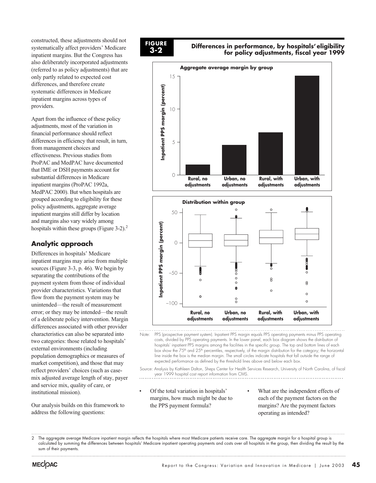constructed, these adjustments should not systematically affect providers' Medicare inpatient margins. But the Congress has also deliberately incorporated adjustments (referred to as policy adjustments) that are only partly related to expected cost differences, and therefore create systematic differences in Medicare inpatient margins across types of providers.

Apart from the influence of these policy adjustments, most of the variation in financial performance should reflect differences in efficiency that result, in turn, from management choices and effectiveness. Previous studies from ProPAC and MedPAC have documented that IME or DSH payments account for substantial differences in Medicare inpatient margins (ProPAC 1992a, MedPAC 2000). But when hospitals are grouped according to eligibility for these policy adjustments, aggregate average inpatient margins still differ by location and margins also vary widely among hospitals within these groups (Figure 3-2).<sup>2</sup>

# **Analytic approach**

Differences in hospitals' Medicare inpatient margins may arise from multiple sources (Figure 3-3, p. 46). We begin by separating the contributions of the payment system from those of individual provider characteristics. Variations that flow from the payment system may be unintended—the result of measurement error; or they may be intended—the result of a deliberate policy intervention. Margin differences associated with other provider characteristics can also be separated into two categories: those related to hospitals' external environments (including population demographics or measures of market competition), and those that may reflect providers' choices (such as casemix adjusted average length of stay, payer and service mix, quality of care, or institutional mission).

Our analysis builds on this framework to address the following questions:



**Differences in performance, by hospitals' eligibility for policy adjustments, fiscal year 1999**





Note: PPS (prospective payment system). Inpatient PPS margin equals PPS operating payments minus PPS operating costs, divided by PPS operating payments. In the lower panel, each box diagram shows the distribution of hospitals' inpatient PPS margins among the facilities in the specific group. The top and bottom lines of each box show the 75<sup>th</sup> and 25<sup>th</sup> percentiles, respectively, of the margin distribution for the category; the horizontal line inside the box is the median margin. The small circles indicate hospitals that fall outside the range of expected performance as defined by the threshold lines above and below each box.

Source: Analysis by Kathleen Dalton, Sheps Center for Health Services Research, University of North Carolina, of fiscal year 1999 hospital cost report information from CMS.

- Of the total variation in hospitals' margins, how much might be due to the PPS payment formula?
- What are the independent effects of each of the payment factors on the margins? Are the payment factors operating as intended?

<sup>2</sup> The aggregate average Medicare inpatient margin reflects the hospitals where most Medicare patients receive care. The aggregate margin for a hospital group is calculated by summing the differences between hospitals' Medicare inpatient operating payments and costs over all hospitals in the group, then dividing the result by the sum of their payments.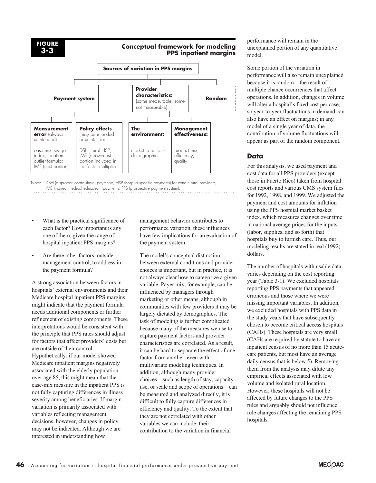#### **Conceptual framework for modeling PPS inpatient margins**



Note: DSH (disproportionate share) payments, HSP (hospital-specific payments) for certain rural providers, IME (indirect medical education) payments, PPS (prospective payment system).

- What is the practical significance of each factor? How important is any one of them, given the range of hospital inpatient PPS margins?
- Are there other factors, outside management control, to address in the payment formula?

A strong association between factors in hospitals' external environments and their Medicare hospital inpatient PPS margins might indicate that the payment formula needs additional components or further refinement of existing components. These interpretations would be consistent with the principle that PPS rates should adjust for factors that affect providers' costs but are outside of their control. Hypothetically, if our model showed Medicare inpatient margins negatively associated with the elderly population over age 85, this might mean that the case-mix measure in the inpatient PPS is not fully capturing differences in illness severity among beneficiaries. If margin variation is primarily associated with variables reflecting management decisions, however, changes in policy may not be indicated. Although we are interested in understanding how

management behavior contributes to performance variation, these influences have few implications for an evaluation of the payment system.

The model's conceptual distinction between external conditions and provider choices is important, but in practice, it is not always clear how to categorize a given variable. Payer mix, for example, can be influenced by managers through marketing or other means, although in communities with few providers it may be largely dictated by demographics. The task of modeling is further complicated because many of the measures we use to capture payment factors and provider characteristics are correlated. As a result, it can be hard to separate the effect of one factor from another, even with multivariate modeling techniques. In addition, although many provider choices—such as length of stay, capacity use, or scale and scope of operations—can be measured and analyzed directly, it is difficult to fully capture differences in efficiency and quality. To the extent that they are not correlated with other variables we can include, their contribution to the variation in financial

performance will remain in the unexplained portion of any quantitative model.

Some portion of the variation in performance will also remain unexplained because it is random—the result of multiple chance occurrences that affect operations. In addition, changes in volume will alter a hospital's fixed cost per case, so year-to-year fluctuations in demand can also have an effect on margins; in any model of a single year of data, the contribution of volume fluctuations will appear as part of the random component.

# **Data**

For this analysis, we used payment and cost data for all PPS providers (except those in Puerto Rico) taken from hospital cost reports and various CMS system files for 1992, 1998, and 1999. We adjusted the payment and cost amounts for inflation using the PPS hospital market basket index, which measures changes over time in national average prices for the inputs (labor, supplies, and so forth) that hospitals buy to furnish care. Thus, our modeling results are stated in real (1992) dollars.

The number of hospitals with usable data varies depending on the cost reporting year (Table 3-1). We excluded hospitals reporting PPS payments that appeared erroneous and those where we were missing important variables. In addition, we excluded hospitals with PPS data in the study years that have subsequently chosen to become critical access hospitals (CAHs). These hospitals are very small (CAHs are required by statute to have an inpatient census of no more than 15 acutecare patients, but most have an average daily census that is below 5). Removing them from the analysis may dilute any empirical effects associated with low volume and isolated rural location. However, these hospitals will not be affected by future changes to the PPS rules and arguably should not influence rule changes affecting the remaining PPS hospitals.

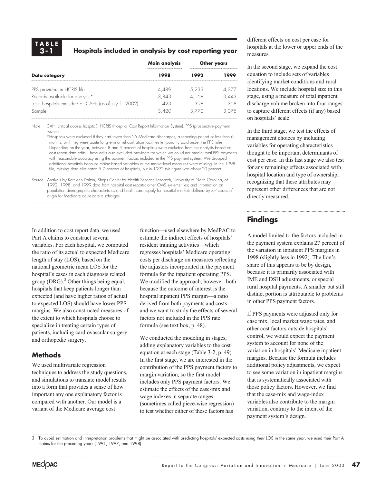## **Hospitals included in analysis by cost reporting year**

|                                                       | Main analysis | Other years |            |
|-------------------------------------------------------|---------------|-------------|------------|
| Data category                                         | 1998          | 1992        | <b>000</b> |
| PPS providers in HCRIS file                           | 4.489         | 5,233       | 4,377      |
| Records available for analysis*                       | 3.843         | 4.168       | 3.443      |
| Less: hospitals excluded as CAHs (as of July 1, 2002) | 423           | 398         | 368        |
| Sample                                                | 3 420         |             | 075        |

Note: CAH (critical access hospital), HCRIS (Hospital Cost Report Information System), PPS (prospective payment system).

\*Hospitals were excluded if they had fewer than 25 Medicare discharges, a reporting period of less than 6 months, or if they were acute long-term or rehabilitation facilities temporarily paid under the PPS rules. Depending on the year, between 8 and 9 percent of hospitals were excluded from the analysis based on cost report data edits. These edits also excluded providers for which we could not predict total PPS payments with reasonable accuracy using the payment factors included in the PPS payment system. We dropped additional hospitals because claims-based variables or the market-level measures were missing. In the 1998 file, missing data eliminated 5.7 percent of hospitals, but in 1992 this figure was about 20 percent.

Source: Analysis by Kathleen Dalton, Sheps Center for Health Services Research, University of North Carolina, of 1992, 1998, and 1999 data from hospital cost reports; other CMS systems files; and information on population demographic characteristics and health care supply for hospital markets defined by ZIP codes of origin for Medicare acute-care discharges.

In addition to cost report data, we used Part A claims to construct several variables. For each hospital, we computed the ratio of its actual to expected Medicare length of stay (LOS), based on the national geometric mean LOS for the hospital's cases in each diagnosis related group  $(DRG)$ .<sup>3</sup> Other things being equal, hospitals that keep patients longer than expected (and have higher ratios of actual to expected LOS) should have lower PPS margins. We also constructed measures of the extent to which hospitals choose to specialize in treating certain types of patients, including cardiovascular surgery and orthopedic surgery.

### **Methods**

We used multivariate regression techniques to address the study questions, and simulations to translate model results into a form that provides a sense of how important any one explanatory factor is compared with another. Our model is a variant of the Medicare average cost

function—used elsewhere by MedPAC to estimate the indirect effects of hospitals' resident training activities—which regresses hospitals' Medicare operating costs per discharge on measures reflecting the adjusters incorporated in the payment formula for the inpatient operating PPS. We modified the approach, however, both because the outcome of interest is the hospital inpatient PPS margin—a ratio derived from both payments and costs and we want to study the effects of several factors not included in the PPS rate formula (see text box, p. 48).

We conducted the modeling in stages, adding explanatory variables to the cost equation at each stage (Table 3-2, p. 49). In the first stage, we are interested in the contribution of the PPS payment factors to margin variation, so the first model includes only PPS payment factors. We estimate the effects of the case-mix and wage indexes in separate ranges (sometimes called piece-wise regression) to test whether either of these factors has

different effects on cost per case for hospitals at the lower or upper ends of the measures.

In the second stage, we expand the cost equation to include sets of variables identifying market conditions and rural locations. We include hospital size in this stage, using a measure of total inpatient discharge volume broken into four ranges to capture different effects (if any) based on hospitals' scale.

In the third stage, we test the effects of management choices by including variables for operating characteristics thought to be important determinants of cost per case. In this last stage we also test for any remaining effects associated with hospital location and type of ownership, recognizing that these attributes may represent other differences that are not directly measured.

# **Findings**

A model limited to the factors included in the payment system explains 27 percent of the variation in inpatient PPS margins in 1998 (slightly less in 1992). The lion's share of this appears to be by design, because it is primarily associated with IME and DSH adjustments, or special rural hospital payments. A smaller but still distinct portion is attributable to problems in other PPS payment factors.

If PPS payments were adjusted only for case mix, local market wage rates, and other cost factors outside hospitals' control, we would expect the payment system to account for none of the variation in hospitals' Medicare inpatient margins. Because the formula includes additional policy adjustments, we expect to see some variation in inpatient margins that is systematically associated with those policy factors. However, we find that the case-mix and wage-index variables also contribute to the margin variation, contrary to the intent of the payment system's design.

3 To avoid estimation and interpretation problems that might be associated with predicting hospitals' expected costs using their LOS in the same year, we used their Part A claims for the preceding years (1991, 1997, and 1998).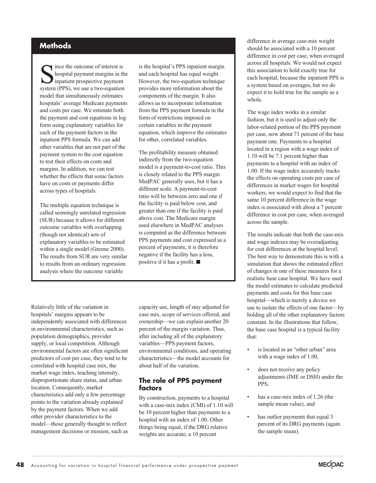# **Methods**

Since the outcome of interest is<br>hospital payment margins in the inpatient prospective payment<br>system (PPS), we use a two-equation hospital payment margins in the inpatient prospective payment system (PPS), we use a two-equation model that simultaneously estimates hospitals' average Medicare payments and costs per case. We estimate both the payment and cost equations in log form using explanatory variables for each of the payment factors in the inpatient PPS formula. We can add other variables that are not part of the payment system to the cost equation to test their effects on costs and margins. In addition, we can test whether the effects that some factors have on costs or payments differ across types of hospitals.

The multiple equation technique is called seemingly unrelated regression (SUR) because it allows for different outcome variables with overlapping (though not identical) sets of explanatory variables to be estimated within a single model (Greene 2000). The results from SUR are very similar to results from an ordinary regression analysis where the outcome variable

is the hospital's PPS inpatient margin and each hospital has equal weight. However, the two-equation technique provides more information about the components of the margin. It also allows us to incorporate information from the PPS payment formula in the form of restrictions imposed on certain variables in the payment equation, which improve the estimates for other, correlated variables.

The profitability measure obtained indirectly from the two-equation model is a payment-to-cost ratio. This is closely related to the PPS margin MedPAC generally uses, but it has a different scale. A payment-to-cost ratio will be between zero and one if the facility is paid below cost, and greater than one if the facility is paid above cost. The Medicare margin used elsewhere in MedPAC analyses is computed as the difference between PPS payments and cost expressed as a percent of payments; it is therefore negative if the facility has a loss, positive if it has a profit.

Relatively little of the variation in hospitals' margins appears to be independently associated with differences in environmental characteristics, such as population demographics, provider supply, or local competition. Although environmental factors are often significant predictors of cost per case, they tend to be correlated with hospital case mix, the market wage index, teaching intensity, disproportionate share status, and urban location. Consequently, market characteristics add only a few percentage points to the variation already explained by the payment factors. When we add other provider characteristics to the model—those generally thought to reflect management decisions or mission, such as capacity use, length of stay adjusted for case mix, scope of services offered, and ownership—we can explain another 20 percent of the margin variation. Thus, after including all of the explanatory variables—PPS payment factors, environmental conditions, and operating characteristics—the model accounts for about half of the variation.

#### **The role of PPS payment factors**

By construction, payments to a hospital with a case-mix index (CMI) of 1.10 will be 10 percent higher than payments to a hospital with an index of 1.00. Other things being equal, if the DRG relative weights are accurate, a 10 percent

difference in average case-mix weight should be associated with a 10 percent difference in cost per case, when averaged across all hospitals. We would not expect this association to hold exactly true for each hospital, because the inpatient PPS is a system based on averages, but we do expect it to hold true for the sample as a whole.

The wage index works in a similar fashion, but it is used to adjust only the labor-related portion of the PPS payment per case, now about 71 percent of the base payment rate. Payments to a hospital located in a region with a wage index of 1.10 will be 7.1 percent higher than payments to a hospital with an index of 1.00. If the wage index accurately tracks the effects on operating costs per case of differences in market wages for hospital workers, we would expect to find that the same 10 percent difference in the wage index is associated with about a 7 percent difference in cost per case, when averaged across the sample.

The results indicate that both the case-mix and wage indexes may be overadjusting for cost differences at the hospital level. The best way to demonstrate this is with a simulation that shows the estimated effect of changes in one of these measures for a realistic base case hospital. We have used the model estimates to calculate predicted payments and costs for this base case hospital—which is merely a device we use to isolate the effects of one factor—by holding all of the other explanatory factors constant. In the illustrations that follow, the base case hospital is a typical facility that:

- is located in an "other urban" area with a wage index of 1.00,
- does not receive any policy adjustments (IME or DSH) under the PPS,
- has a case-mix index of 1.26 (the sample mean value), and
- has outlier payments that equal 3 percent of its DRG payments (again the sample mean).

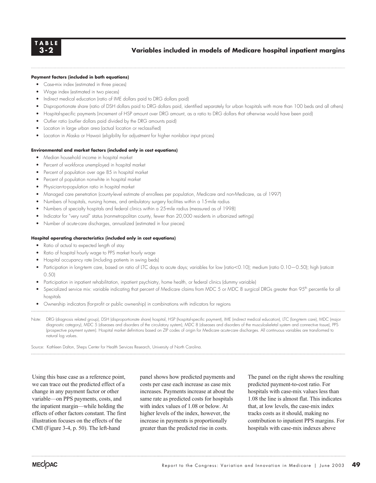#### **Variables included in models of Medicare hospital inpatient margins**

#### **Payment factors (included in both equations)**

- Case-mix index (estimated in three pieces)
- Wage index (estimated in two pieces)
- Indirect medical education (ratio of IME dollars paid to DRG dollars paid)
- Disproportionate share (ratio of DSH dollars paid to DRG dollars paid, identified separately for urban hospitals with more than 100 beds and all others)
- Hospital-specific payments (increment of HSP amount over DRG amount, as a ratio to DRG dollars that otherwise would have been paid)
- Outlier ratio (outlier dollars paid divided by the DRG amounts paid)
- Location in large urban area (actual location or reclassified)
- Location in Alaska or Hawaii (eligibility for adjustment for higher nonlabor input prices)

#### **Environmental and market factors (included only in cost equations)**

- Median household income in hospital market
- Percent of workforce unemployed in hospital market
- Percent of population over age 85 in hospital market
- Percent of population nonwhite in hospital market
- Physician-to-population ratio in hospital market
- Managed care penetration (county-level estimate of enrollees per population, Medicare and non-Medicare, as of 1997)
- Numbers of hospitals, nursing homes, and ambulatory surgery facilities within a 15-mile radius
- Numbers of specialty hospitals and federal clinics within a 25-mile radius (measured as of 1998)
- Indicator for "very rural" status (nonmetropolitan county, fewer than 20,000 residents in urbanized settings)
- Number of acute-care discharges, annualized (estimated in four pieces)

#### **Hospital operating characteristics (included only in cost equations)**

- Ratio of actual to expected length of stay
- Ratio of hospital hourly wage to PPS market hourly wage
- Hospital occupancy rate (including patients in swing beds)
- Participation in long-term care, based on ratio of LTC days to acute days; variables for low (ratio $<$  0.10); medium (ratio 0.10–0.50); high (ratio $\ge$ 0.50)
- Participation in inpatient rehabilitation, inpatient psychiatry, home health, or federal clinics (dummy variable)
- Specialized service mix: variable indicating that percent of Medicare claims from MDC 5 or MDC 8 surgical DRGs greater than 95<sup>th</sup> percentile for all hospitals
- Ownership indicators (for-profit or public ownership) in combinations with indicators for regions
- Note: DRG (diagnosis related group), DSH (disproportionate share) hospital, HSP (hospital-specific payment), IME (indirect medical education), LTC (long-term care), MDC (major diagnostic category), MDC 5 (diseases and disorders of the circulatory system), MDC 8 (diseases and disorders of the musculoskeletal system and connective tissue), PPS (prospective payment system). Hospital market definitions based on ZIP codes of origin for Medicare acute-care discharges. All continuous variables are transformed to natural log values.

Source: Kathleen Dalton, Sheps Center for Health Services Research, University of North Carolina.

Using this base case as a reference point, we can trace out the predicted effect of a change in any payment factor or other variable—on PPS payments, costs, and the inpatient margin—while holding the effects of other factors constant. The first illustration focuses on the effects of the CMI (Figure 3-4, p. 50). The left-hand

panel shows how predicted payments and costs per case each increase as case mix increases. Payments increase at about the same rate as predicted costs for hospitals with index values of 1.08 or below. At higher levels of the index, however, the increase in payments is proportionally greater than the predicted rise in costs.

The panel on the right shows the resulting predicted payment-to-cost ratio. For hospitals with case-mix values less than 1.08 the line is almost flat. This indicates that, at low levels, the case-mix index tracks costs as it should, making no contribution to inpatient PPS margins. For hospitals with case-mix indexes above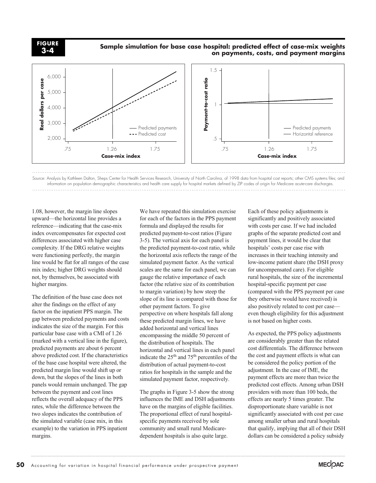**FIGURE 3-4**

#### **Sample simulation for base case hospital: predicted effect of case-mix weights on payments, costs, and payment margins**



Source: Analysis by Kathleen Dalton, Sheps Center for Health Services Research, University of North Carolina, of 1998 data from hospital cost reports; other CMS systems files; and information on population demographic characteristics and health care supply for hospital markets defined by ZIP codes of origin for Medicare acute-care discharges. 

1.08, however, the margin line slopes upward—the horizontal line provides a reference—indicating that the case-mix index overcompensates for expected cost differences associated with higher case complexity. If the DRG relative weights were functioning perfectly, the margin line would be flat for all ranges of the case mix index; higher DRG weights should not, by themselves, be associated with higher margins.

The definition of the base case does not alter the findings on the effect of any factor on the inpatient PPS margin. The gap between predicted payments and costs indicates the size of the margin. For this particular base case with a CMI of 1.26 (marked with a vertical line in the figure), predicted payments are about 6 percent above predicted cost. If the characteristics of the base case hospital were altered, the predicted margin line would shift up or down, but the slopes of the lines in both panels would remain unchanged. The gap between the payment and cost lines reflects the overall adequacy of the PPS rates, while the difference between the two slopes indicates the contribution of the simulated variable (case mix, in this example) to the variation in PPS inpatient margins.

We have repeated this simulation exercise for each of the factors in the PPS payment formula and displayed the results for predicted payment-to-cost ratios (Figure 3-5). The vertical axis for each panel is the predicted payment-to-cost ratio, while the horizontal axis reflects the range of the simulated payment factor. As the vertical scales are the same for each panel, we can gauge the relative importance of each factor (the relative size of its contribution to margin variation) by how steep the slope of its line is compared with those for other payment factors. To give perspective on where hospitals fall along these predicted margin lines, we have added horizontal and vertical lines encompassing the middle 50 percent of the distribution of hospitals. The horizontal and vertical lines in each panel indicate the  $25<sup>th</sup>$  and  $75<sup>th</sup>$  percentiles of the distribution of actual payment-to-cost ratios for hospitals in the sample and the simulated payment factor, respectively.

The graphs in Figure 3-5 show the strong influences the IME and DSH adjustments have on the margins of eligible facilities. The proportional effect of rural hospitalspecific payments received by sole community and small rural Medicaredependent hospitals is also quite large.

Each of these policy adjustments is significantly and positively associated with costs per case. If we had included graphs of the separate predicted cost and payment lines, it would be clear that hospitals' costs per case rise with increases in their teaching intensity and low-income patient share (the DSH proxy for uncompensated care). For eligible rural hospitals, the size of the incremental hospital-specific payment per case (compared with the PPS payment per case they otherwise would have received) is also positively related to cost per case even though eligibility for this adjustment is not based on higher costs.

As expected, the PPS policy adjustments are considerably greater than the related cost differentials. The difference between the cost and payment effects is what can be considered the policy portion of the adjustment. In the case of IME, the payment effects are more than twice the predicted cost effects. Among urban DSH providers with more than 100 beds, the effects are nearly 5 times greater. The disproportionate share variable is not significantly associated with cost per case among smaller urban and rural hospitals that qualify, implying that all of their DSH dollars can be considered a policy subsidy

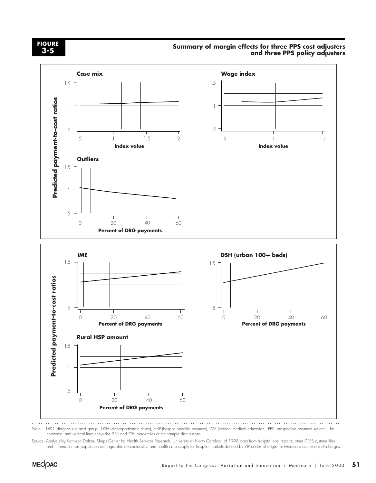#### **FIGURE 3-5**

#### **Summary of margin effects for three PPS cost adjusters and three PPS policy adjusters**



Note: DRG (diagnosis related group), DSH (disproportionate share), HSP (hospital-specific payment), IME (indirect medical education), PPS (prospective payment system). The horizontal and vertical lines show the 25<sup>th</sup> and 75<sup>th</sup> percentiles of the sample distributions.

Source: Analysis by Kathleen Dalton, Sheps Center for Health Services Research, University of North Carolina, of 1998 data from hospital cost reports; other CMS systems files; and information on population demographic characteristics and health care supply for hospital markets defined by ZIP codes of origin for Medicare acute-care discharges.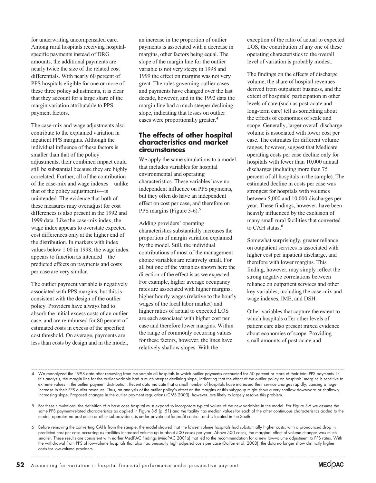for underwriting uncompensated care. Among rural hospitals receiving hospitalspecific payments instead of DRG amounts, the additional payments are nearly twice the size of the related cost differentials. With nearly 60 percent of PPS hospitals eligible for one or more of these three policy adjustments, it is clear that they account for a large share of the margin variation attributable to PPS payment factors.

The case-mix and wage adjustments also contribute to the explained variation in inpatient PPS margins. Although the individual influence of these factors is smaller than that of the policy adjustments, their combined impact could still be substantial because they are highly correlated. Further, all of the contribution of the case-mix and wage indexes—unlike that of the policy adjustments—is unintended. The evidence that both of these measures may overadjust for cost differences is also present in the 1992 and 1999 data. Like the case-mix index, the wage index appears to overstate expected cost differences only at the higher end of the distribution. In markets with index values below 1.00 in 1998, the wage index appears to function as intended—the predicted effects on payments and costs per case are very similar.

The outlier payment variable is negatively associated with PPS margins, but this is consistent with the design of the outlier policy. Providers have always had to absorb the initial excess costs of an outlier case, and are reimbursed for 80 percent of estimated costs in excess of the specified cost threshold. On average, payments are less than costs by design and in the model,

an increase in the proportion of outlier payments is associated with a decrease in margins, other factors being equal. The slope of the margin line for the outlier variable is not very steep; in 1998 and 1999 the effect on margins was not very great. The rules governing outlier cases and payments have changed over the last decade, however, and in the 1992 data the margin line had a much steeper declining slope, indicating that losses on outlier cases were proportionally greater.<sup>4</sup>

#### **The effects of other hospital characteristics and market circumstances**

We apply the same simulations to a model that includes variables for hospital environmental and operating characteristics. These variables have no independent influence on PPS payments, but they often do have an independent effect on cost per case, and therefore on PPS margins (Figure 3-6). $5$ 

Adding providers' operating characteristics substantially increases the proportion of margin variation explained by the model. Still, the individual contributions of most of the management choice variables are relatively small. For all but one of the variables shown here the direction of the effect is as we expected. For example, higher average occupancy rates are associated with higher margins; higher hourly wages (relative to the hourly wages of the local labor market) and higher ratios of actual to expected LOS are each associated with higher cost per case and therefore lower margins. Within the range of commonly occurring values for these factors, however, the lines have relatively shallow slopes. With the

exception of the ratio of actual to expected LOS, the contribution of any one of these operating characteristics to the overall level of variation is probably modest.

The findings on the effects of discharge volume, the share of hospital revenues derived from outpatient business, and the extent of hospitals' participation in other levels of care (such as post-acute and long-term care) tell us something about the effects of economies of scale and scope. Generally, larger overall discharge volume is associated with lower cost per case. The estimates for different volume ranges, however, suggest that Medicare operating costs per case decline only for hospitals with fewer than 10,000 annual discharges (including more than 75 percent of all hospitals in the sample). The estimated decline in costs per case was strongest for hospitals with volumes between 5,000 and 10,000 discharges per year. These findings, however, have been heavily influenced by the exclusion of many small rural facilities that converted to CAH status.<sup>6</sup>

Somewhat surprisingly, greater reliance on outpatient services is associated with higher cost per inpatient discharge, and therefore with lower margins. This finding, however, may simply reflect the strong negative correlations between reliance on outpatient services and other key variables, including the case-mix and wage indexes, IME, and DSH.

Other variables that capture the extent to which hospitals offer other levels of patient care also present mixed evidence about economies of scope. Providing small amounts of post-acute and

- 4 We reanalyzed the 1998 data after removing from the sample all hospitals in which outlier payments accounted for 50 percent or more of their total PPS payments. In this analysis, the margin line for the outlier variable had a much steeper declining slope, indicating that the effect of the outlier policy on hospitals' margins is sensitive to extreme values in the outlier payment distribution. Recent data indicate that a small number of hospitals have increased their service charges rapidly, causing a huge increase in their PPS outlier revenues. Thus, an analysis of the outlier policy's effect on the margins of this subgroup might show a very shallow downward or shallowly increasing slope. Proposed changes in the outlier payment regulations (CMS 2003), however, are likely to largely resolve this problem.
- 5 For these simulations, the definition of a base case hospital must expand to incorporate typical values of the new variables in the model. For Figure 3-6 we assume the same PPS payment-related characteristics as applied in Figure 3-5 (p. 51) and the facility has median values for each of the other continuous characteristics added to the model, operates no post-acute or other subproviders, is under private not-for-profit control, and is located in the South.
- 6 Before removing the converting CAHs from the sample, the model showed that the lowest volume hospitals had substantially higher costs, with a pronounced drop in predicted cost per case occurring as facilities increased volume up to about 500 cases per year. Above 500 cases, the marginal effect of volume changes was much smaller. These results are consistent with earlier MedPAC findings (MedPAC 2001a) that led to the recommendation for a new low-volume adjustment to PPS rates. With the withdrawal from PPS of low-volume hospitals that also had unusually high adjusted costs per case (Dalton et al. 2003), the data no longer show distinctly higher costs for low-volume providers.

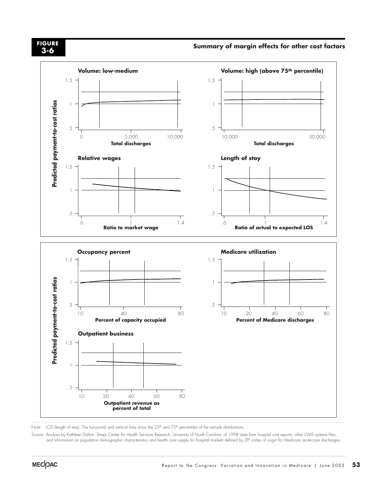# **3-6**

# **Summary of margin effects for other cost factors FIGURE**



Note: LOS (length of stay). The horizontal and vertical lines show the 25<sup>th</sup> and 75<sup>th</sup> percentiles of the sample distributions.

Source: Analysis by Kathleen Dalton, Sheps Center for Health Services Research, University of North Carolina, of 1998 data from hospital cost reports; other CMS systems files; and information on population demographic characteristics and health care supply for hospital markets defined by ZIP codes of origin for Medicare acute-care discharges.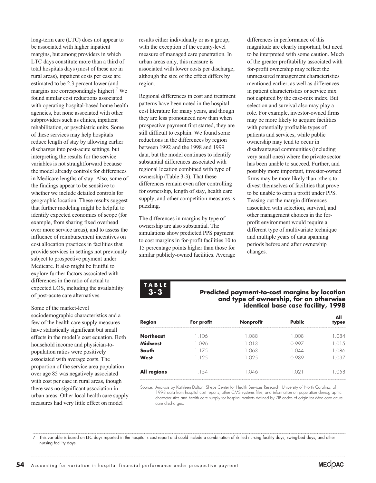long-term care (LTC) does not appear to be associated with higher inpatient margins, but among providers in which LTC days constitute more than a third of total hospitals days (most of these are in rural areas), inpatient costs per case are estimated to be 2.3 percent lower (and margins are correspondingly higher).<sup>7</sup> We found similar cost reductions associated with operating hospital-based home health agencies, but none associated with other subproviders such as clinics, inpatient rehabilitation, or psychiatric units. Some of these services may help hospitals reduce length of stay by allowing earlier discharges into post-acute settings, but interpreting the results for the service variables is not straightforward because the model already controls for differences in Medicare lengths of stay. Also, some of the findings appear to be sensitive to whether we include detailed controls for geographic location. These results suggest that further modeling might be helpful to identify expected economies of scope (for example, from sharing fixed overhead over more service areas), and to assess the influence of reimbursement incentives on cost allocation practices in facilities that provide services in settings not previously subject to prospective payment under Medicare. It also might be fruitful to explore further factors associated with differences in the ratio of actual to expected LOS, including the availability of post-acute care alternatives.

Some of the market-level sociodemographic characteristics and a few of the health care supply measures have statistically significant but small effects in the model's cost equation. Both household income and physician-topopulation ratios were positively associated with average costs. The proportion of the service area population over age 85 was negatively associated with cost per case in rural areas, though there was no significant association in urban areas. Other local health care supply measures had very little effect on model

results either individually or as a group, with the exception of the county-level measure of managed care penetration. In urban areas only, this measure is associated with lower costs per discharge, although the size of the effect differs by region.

Regional differences in cost and treatment patterns have been noted in the hospital cost literature for many years, and though they are less pronounced now than when prospective payment first started, they are still difficult to explain. We found some reductions in the differences by region between 1992 and the 1998 and 1999 data, but the model continues to identify substantial differences associated with regional location combined with type of ownership (Table 3-3). That these differences remain even after controlling for ownership, length of stay, health care supply, and other competition measures is puzzling.

The differences in margins by type of ownership are also substantial. The simulations show predicted PPS payment to cost margins in for-profit facilities 10 to 15 percentage points higher than those for similar publicly-owned facilities. Average

differences in performance of this magnitude are clearly important, but need to be interpreted with some caution. Much of the greater profitability associated with for-profit ownership may reflect the unmeasured management characteristics mentioned earlier, as well as differences in patient characteristics or service mix not captured by the case-mix index. But selection and survival also may play a role. For example, investor-owned firms may be more likely to acquire facilities with potentially profitable types of patients and services, while public ownership may tend to occur in disadvantaged communities (including very small ones) where the private sector has been unable to succeed. Further, and possibly more important, investor-owned firms may be more likely than others to divest themselves of facilities that prove to be unable to earn a profit under PPS. Teasing out the margin differences associated with selection, survival, and other management choices in the forprofit environment would require a different type of multivariate technique and multiple years of data spanning periods before and after ownership changes.

**TABLE 3-3**

#### **Predicted payment-to-cost margins by location and type of ownership, for an otherwise identical base case facility, 1998**

| <b>Region</b>      | For profit | <b>Nonprofit</b> | <b>Public</b> | All<br>types |
|--------------------|------------|------------------|---------------|--------------|
| <b>Northeast</b>   | . 106      | L.O88            | 1.008         | 1.084        |
| <b>Midwest</b>     | 096        | 1.013            | በ 997         | 1.015        |
| South              | 1.175      | .063             | L.O44         | 1.086        |
| <b>West</b>        | 1.125      | .025             | 0.989         | 1.037        |
| <b>All regions</b> | .154       | (1A)             | 1.021         | 1.058        |

Source: Analysis by Kathleen Dalton, Sheps Center for Health Services Research, University of North Carolina, of 1998 data from hospital cost reports; other CMS systems files; and information on population demographic characteristics and health care supply for hospital markets defined by ZIP codes of origin for Medicare acutecare discharges.

7 This variable is based on LTC days reported in the hospital's cost report and could include a combination of skilled nursing facility days, swing-bed days, and other nursing facility days.

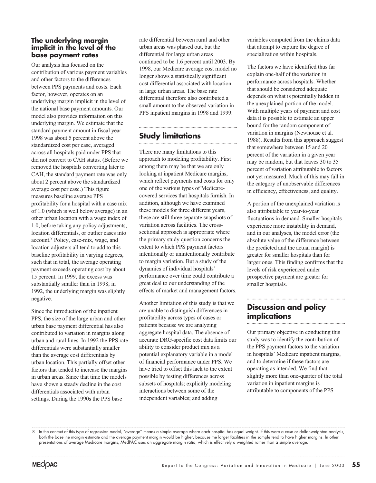#### **The underlying margin implicit in the level of the base payment rates**

Our analysis has focused on the contribution of various payment variables and other factors to the differences between PPS payments and costs. Each factor, however, operates on an underlying margin implicit in the level of the national base payment amounts. Our model also provides information on this underlying margin. We estimate that the standard payment amount in fiscal year 1998 was about 5 percent above the standardized cost per case, averaged across all hospitals paid under PPS that did not convert to CAH status. (Before we removed the hospitals converting later to CAH, the standard payment rate was only about 2 percent above the standardized average cost per case.) This figure measures baseline average PPS profitability for a hospital with a case mix of 1.0 (which is well below average) in an other urban location with a wage index of 1.0, before taking any policy adjustments, location differentials, or outlier cases into account.8 Policy, case-mix, wage, and location adjusters all tend to add to this baseline profitability in varying degrees, such that in total, the average operating payment exceeds operating cost by about 15 percent. In 1999, the excess was substantially smaller than in 1998; in 1992, the underlying margin was slightly negative.

Since the introduction of the inpatient PPS, the size of the large urban and other urban base payment differential has also contributed to variation in margins along urban and rural lines. In 1992 the PPS rate differentials were substantially smaller than the average cost differentials by urban location. This partially offset other factors that tended to increase the margins in urban areas. Since that time the models have shown a steady decline in the cost differentials associated with urban settings. During the 1990s the PPS base

rate differential between rural and other urban areas was phased out, but the differential for large urban areas continued to be 1.6 percent until 2003. By 1998, our Medicare average cost model no longer shows a statistically significant cost differential associated with location in large urban areas. The base rate differential therefore also contributed a small amount to the observed variation in PPS inpatient margins in 1998 and 1999.

# **Study limitations**

There are many limitations to this approach to modeling profitability. First among them may be that we are only looking at inpatient Medicare margins, which reflect payments and costs for only one of the various types of Medicarecovered services that hospitals furnish. In addition, although we have examined these models for three different years, these are still three separate snapshots of variation across facilities. The crosssectional approach is appropriate where the primary study question concerns the extent to which PPS payment factors intentionally or unintentionally contribute to margin variation. But a study of the dynamics of individual hospitals' performance over time could contribute a great deal to our understanding of the effects of market and management factors.

Another limitation of this study is that we are unable to distinguish differences in profitability across types of cases or patients because we are analyzing aggregate hospital data. The absence of accurate DRG-specific cost data limits our ability to consider product mix as a potential explanatory variable in a model of financial performance under PPS. We have tried to offset this lack to the extent possible by testing differences across subsets of hospitals; explicitly modeling interactions between some of the independent variables; and adding

variables computed from the claims data that attempt to capture the degree of specialization within hospitals.

The factors we have identified thus far explain one-half of the variation in performance across hospitals. Whether that should be considered adequate depends on what is potentially hidden in the unexplained portion of the model. With multiple years of payment and cost data it is possible to estimate an upper bound for the random component of variation in margins (Newhouse et al. 1988). Results from this approach suggest that somewhere between 15 and 20 percent of the variation in a given year may be random, but that leaves 30 to 35 percent of variation attributable to factors not yet measured. Much of this may fall in the category of unobservable differences in efficiency, effectiveness, and quality.

A portion of the unexplained variation is also attributable to year-to-year fluctuations in demand. Smaller hospitals experience more instability in demand, and in our analyses, the model error (the absolute value of the difference between the predicted and the actual margin) is greater for smaller hospitals than for larger ones. This finding confirms that the levels of risk experienced under prospective payment are greater for smaller hospitals.

# **Discussion and policy implications**

Our primary objective in conducting this study was to identify the contribution of the PPS payment factors to the variation in hospitals' Medicare inpatient margins, and to determine if these factors are operating as intended. We find that slightly more than one-quarter of the total variation in inpatient margins is attributable to components of the PPS

<sup>8</sup> In the context of this type of regression model, "average" means a simple average where each hospital has equal weight. If this were a case or dollar-weighted analysis, both the baseline margin estimate and the average payment margin would be higher, because the larger facilities in the sample tend to have higher margins. In other presentations of average Medicare margins, MedPAC uses an aggregate margin ratio, which is effectively a weighted rather than a simple average.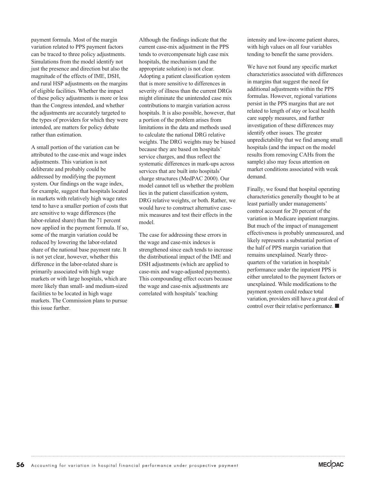payment formula. Most of the margin variation related to PPS payment factors can be traced to three policy adjustments. Simulations from the model identify not just the presence and direction but also the magnitude of the effects of IME, DSH, and rural HSP adjustments on the margins of eligible facilities. Whether the impact of these policy adjustments is more or less than the Congress intended, and whether the adjustments are accurately targeted to the types of providers for which they were intended, are matters for policy debate rather than estimation.

A small portion of the variation can be attributed to the case-mix and wage index adjustments. This variation is not deliberate and probably could be addressed by modifying the payment system. Our findings on the wage index, for example, suggest that hospitals located in markets with relatively high wage rates tend to have a smaller portion of costs that are sensitive to wage differences (the labor-related share) than the 71 percent now applied in the payment formula. If so, some of the margin variation could be reduced by lowering the labor-related share of the national base payment rate. It is not yet clear, however, whether this difference in the labor-related share is primarily associated with high wage markets or with large hospitals, which are more likely than small- and medium-sized facilities to be located in high wage markets. The Commission plans to pursue this issue further.

Although the findings indicate that the current case-mix adjustment in the PPS tends to overcompensate high case mix hospitals, the mechanism (and the appropriate solution) is not clear. Adopting a patient classification system that is more sensitive to differences in severity of illness than the current DRGs might eliminate the unintended case mix contributions to margin variation across hospitals. It is also possible, however, that a portion of the problem arises from limitations in the data and methods used to calculate the national DRG relative weights. The DRG weights may be biased because they are based on hospitals' service charges, and thus reflect the systematic differences in mark-ups across services that are built into hospitals' charge structures (MedPAC 2000). Our model cannot tell us whether the problem lies in the patient classification system, DRG relative weights, or both. Rather, we would have to construct alternative casemix measures and test their effects in the model.

The case for addressing these errors in the wage and case-mix indexes is strengthened since each tends to increase the distributional impact of the IME and DSH adjustments (which are applied to case-mix and wage-adjusted payments). This compounding effect occurs because the wage and case-mix adjustments are correlated with hospitals' teaching

intensity and low-income patient shares, with high values on all four variables tending to benefit the same providers.

We have not found any specific market characteristics associated with differences in margins that suggest the need for additional adjustments within the PPS formulas. However, regional variations persist in the PPS margins that are not related to length of stay or local health care supply measures, and further investigation of these differences may identify other issues. The greater unpredictability that we find among small hospitals (and the impact on the model results from removing CAHs from the sample) also may focus attention on market conditions associated with weak demand.

Finally, we found that hospital operating characteristics generally thought to be at least partially under managements' control account for 20 percent of the variation in Medicare inpatient margins. But much of the impact of management effectiveness is probably unmeasured, and likely represents a substantial portion of the half of PPS margin variation that remains unexplained. Nearly threequarters of the variation in hospitals' performance under the inpatient PPS is either unrelated to the payment factors or unexplained. While modifications to the payment system could reduce total variation, providers still have a great deal of control over their relative performance.